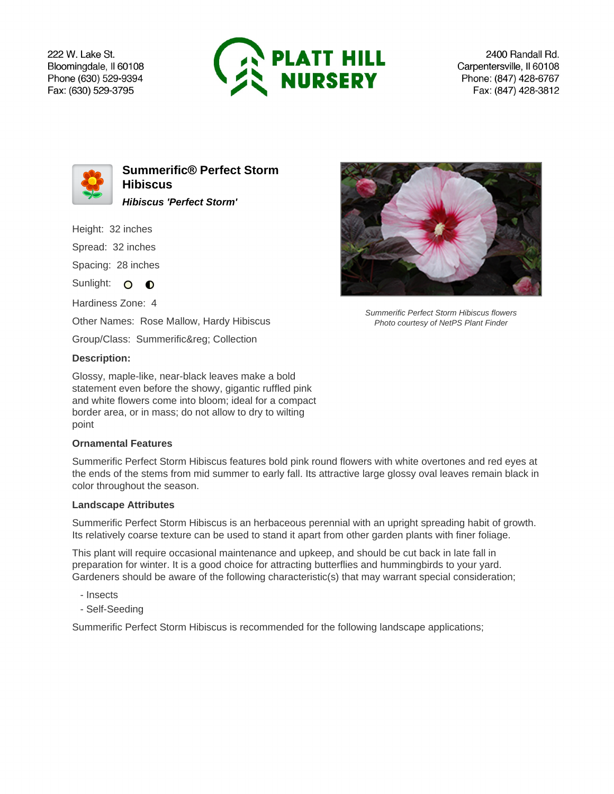222 W. Lake St. Bloomingdale, Il 60108 Phone (630) 529-9394 Fax: (630) 529-3795



2400 Randall Rd. Carpentersville, Il 60108 Phone: (847) 428-6767 Fax: (847) 428-3812



**Summerific® Perfect Storm Hibiscus Hibiscus 'Perfect Storm'**

Height: 32 inches

Spread: 32 inches

Spacing: 28 inches

Sunlight: O O

Hardiness Zone: 4

Other Names: Rose Mallow, Hardy Hibiscus

Group/Class: Summerific® Collection

## **Description:**

Glossy, maple-like, near-black leaves make a bold statement even before the showy, gigantic ruffled pink and white flowers come into bloom; ideal for a compact border area, or in mass; do not allow to dry to wilting point

## **Ornamental Features**

Summerific Perfect Storm Hibiscus features bold pink round flowers with white overtones and red eyes at the ends of the stems from mid summer to early fall. Its attractive large glossy oval leaves remain black in color throughout the season.

## **Landscape Attributes**

Summerific Perfect Storm Hibiscus is an herbaceous perennial with an upright spreading habit of growth. Its relatively coarse texture can be used to stand it apart from other garden plants with finer foliage.

This plant will require occasional maintenance and upkeep, and should be cut back in late fall in preparation for winter. It is a good choice for attracting butterflies and hummingbirds to your yard. Gardeners should be aware of the following characteristic(s) that may warrant special consideration;

- Insects
- Self-Seeding

Summerific Perfect Storm Hibiscus is recommended for the following landscape applications;



Summerific Perfect Storm Hibiscus flowers Photo courtesy of NetPS Plant Finder